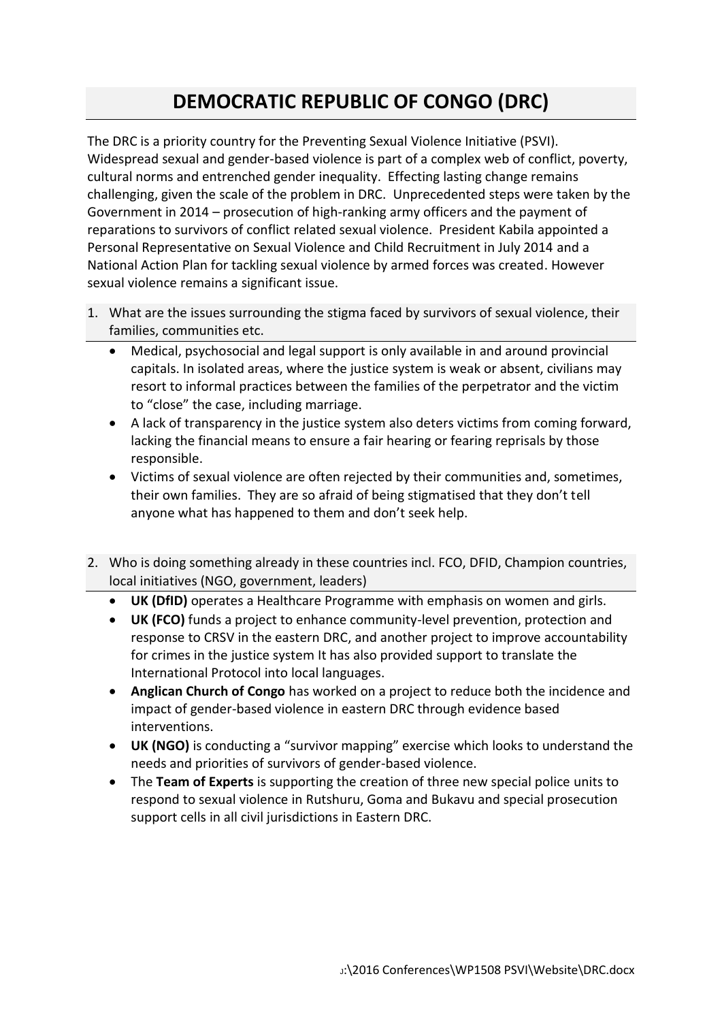## **DEMOCRATIC REPUBLIC OF CONGO (DRC)**

The DRC is a priority country for the Preventing Sexual Violence Initiative (PSVI). Widespread sexual and gender-based violence is part of a complex web of conflict, poverty, cultural norms and entrenched gender inequality. Effecting lasting change remains challenging, given the scale of the problem in DRC. Unprecedented steps were taken by the Government in 2014 – prosecution of high-ranking army officers and the payment of reparations to survivors of conflict related sexual violence. President Kabila appointed a Personal Representative on Sexual Violence and Child Recruitment in July 2014 and a National Action Plan for tackling sexual violence by armed forces was created. However sexual violence remains a significant issue.

- 1. What are the issues surrounding the stigma faced by survivors of sexual violence, their families, communities etc.
	- Medical, psychosocial and legal support is only available in and around provincial capitals. In isolated areas, where the justice system is weak or absent, civilians may resort to informal practices between the families of the perpetrator and the victim to "close" the case, including marriage.
	- A lack of transparency in the justice system also deters victims from coming forward, lacking the financial means to ensure a fair hearing or fearing reprisals by those responsible.
	- Victims of sexual violence are often rejected by their communities and, sometimes, their own families. They are so afraid of being stigmatised that they don't tell anyone what has happened to them and don't seek help.
- 2. Who is doing something already in these countries incl. FCO, DFID, Champion countries, local initiatives (NGO, government, leaders)
	- **UK (DfID)** operates a Healthcare Programme with emphasis on women and girls.
	- **UK (FCO)** funds a project to enhance community-level prevention, protection and response to CRSV in the eastern DRC, and another project to improve accountability for crimes in the justice system It has also provided support to translate the International Protocol into local languages.
	- **Anglican Church of Congo** has worked on a project to reduce both the incidence and impact of gender-based violence in eastern DRC through evidence based interventions.
	- **UK (NGO)** is conducting a "survivor mapping" exercise which looks to understand the needs and priorities of survivors of gender-based violence.
	- The **Team of Experts** is supporting the creation of three new special police units to respond to sexual violence in Rutshuru, Goma and Bukavu and special prosecution support cells in all civil jurisdictions in Eastern DRC.